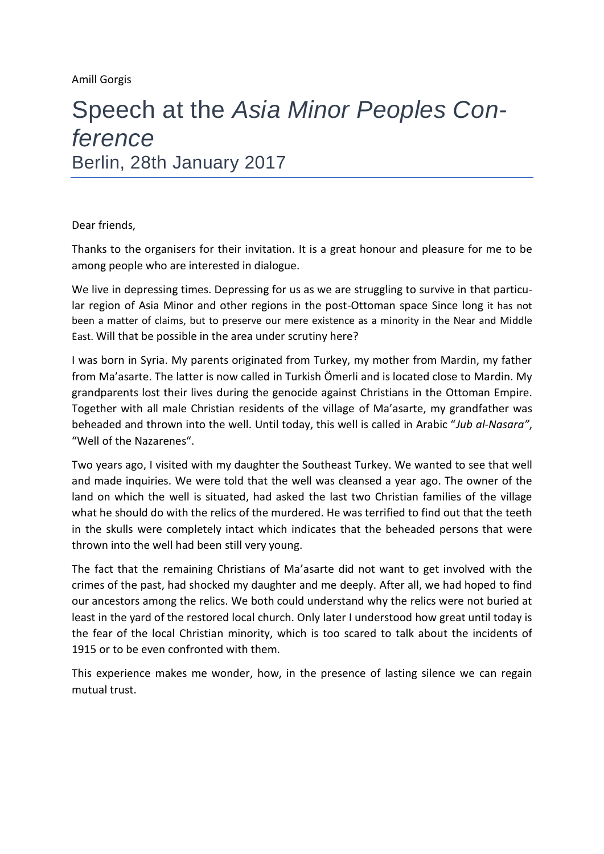## Speech at the *Asia Minor Peoples Conference* Berlin, 28th January 2017

Dear friends,

Thanks to the organisers for their invitation. It is a great honour and pleasure for me to be among people who are interested in dialogue.

We live in depressing times. Depressing for us as we are struggling to survive in that particular region of Asia Minor and other regions in the post-Ottoman space Since long it has not been a matter of claims, but to preserve our mere existence as a minority in the Near and Middle East. Will that be possible in the area under scrutiny here?

I was born in Syria. My parents originated from Turkey, my mother from Mardin, my father from Ma'asarte. The latter is now called in Turkish Ömerli and is located close to Mardin. My grandparents lost their lives during the genocide against Christians in the Ottoman Empire. Together with all male Christian residents of the village of Ma'asarte, my grandfather was beheaded and thrown into the well. Until today, this well is called in Arabic "*Jub al-Nasara"*, "Well of the Nazarenes".

Two years ago, I visited with my daughter the Southeast Turkey. We wanted to see that well and made inquiries. We were told that the well was cleansed a year ago. The owner of the land on which the well is situated, had asked the last two Christian families of the village what he should do with the relics of the murdered. He was terrified to find out that the teeth in the skulls were completely intact which indicates that the beheaded persons that were thrown into the well had been still very young.

The fact that the remaining Christians of Ma'asarte did not want to get involved with the crimes of the past, had shocked my daughter and me deeply. After all, we had hoped to find our ancestors among the relics. We both could understand why the relics were not buried at least in the yard of the restored local church. Only later I understood how great until today is the fear of the local Christian minority, which is too scared to talk about the incidents of 1915 or to be even confronted with them.

This experience makes me wonder, how, in the presence of lasting silence we can regain mutual trust.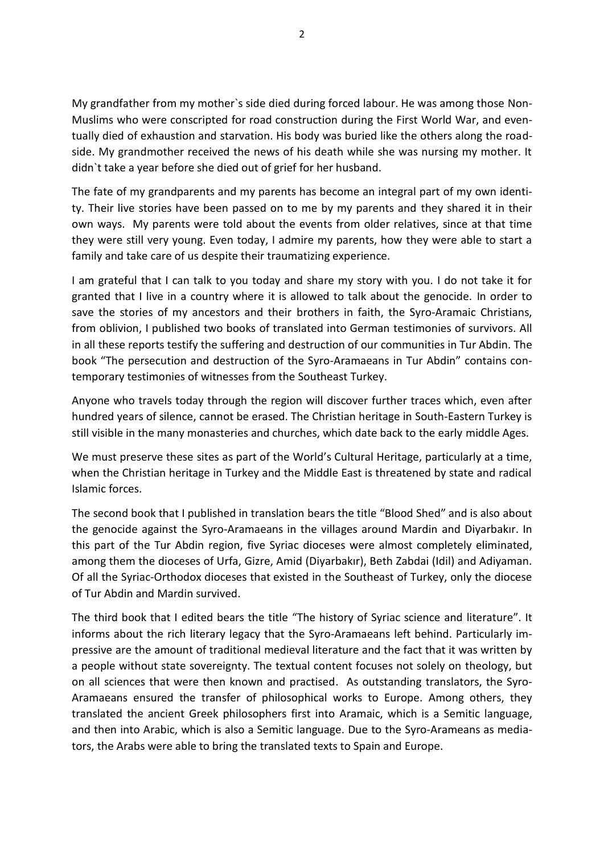My grandfather from my mother`s side died during forced labour. He was among those Non-Muslims who were conscripted for road construction during the First World War, and eventually died of exhaustion and starvation. His body was buried like the others along the roadside. My grandmother received the news of his death while she was nursing my mother. It didn`t take a year before she died out of grief for her husband.

The fate of my grandparents and my parents has become an integral part of my own identity. Their live stories have been passed on to me by my parents and they shared it in their own ways. My parents were told about the events from older relatives, since at that time they were still very young. Even today, I admire my parents, how they were able to start a family and take care of us despite their traumatizing experience.

I am grateful that I can talk to you today and share my story with you. I do not take it for granted that I live in a country where it is allowed to talk about the genocide. In order to save the stories of my ancestors and their brothers in faith, the Syro-Aramaic Christians, from oblivion, I published two books of translated into German testimonies of survivors. All in all these reports testify the suffering and destruction of our communities in Tur Abdin. The book "The persecution and destruction of the Syro-Aramaeans in Tur Abdin" contains contemporary testimonies of witnesses from the Southeast Turkey.

Anyone who travels today through the region will discover further traces which, even after hundred years of silence, cannot be erased. The Christian heritage in South-Eastern Turkey is still visible in the many monasteries and churches, which date back to the early middle Ages.

We must preserve these sites as part of the World's Cultural Heritage, particularly at a time, when the Christian heritage in Turkey and the Middle East is threatened by state and radical Islamic forces.

The second book that I published in translation bears the title "Blood Shed" and is also about the genocide against the Syro-Aramaeans in the villages around Mardin and Diyarbakır. In this part of the Tur Abdin region, five Syriac dioceses were almost completely eliminated, among them the dioceses of Urfa, Gizre, Amid (Diyarbakır), Beth Zabdai (Idil) and Adiyaman. Of all the Syriac-Orthodox dioceses that existed in the Southeast of Turkey, only the diocese of Tur Abdin and Mardin survived.

The third book that I edited bears the title "The history of Syriac science and literature". It informs about the rich literary legacy that the Syro-Aramaeans left behind. Particularly impressive are the amount of traditional medieval literature and the fact that it was written by a people without state sovereignty. The textual content focuses not solely on theology, but on all sciences that were then known and practised. As outstanding translators, the Syro-Aramaeans ensured the transfer of philosophical works to Europe. Among others, they translated the ancient Greek philosophers first into Aramaic, which is a Semitic language, and then into Arabic, which is also a Semitic language. Due to the Syro-Arameans as mediators, the Arabs were able to bring the translated texts to Spain and Europe.